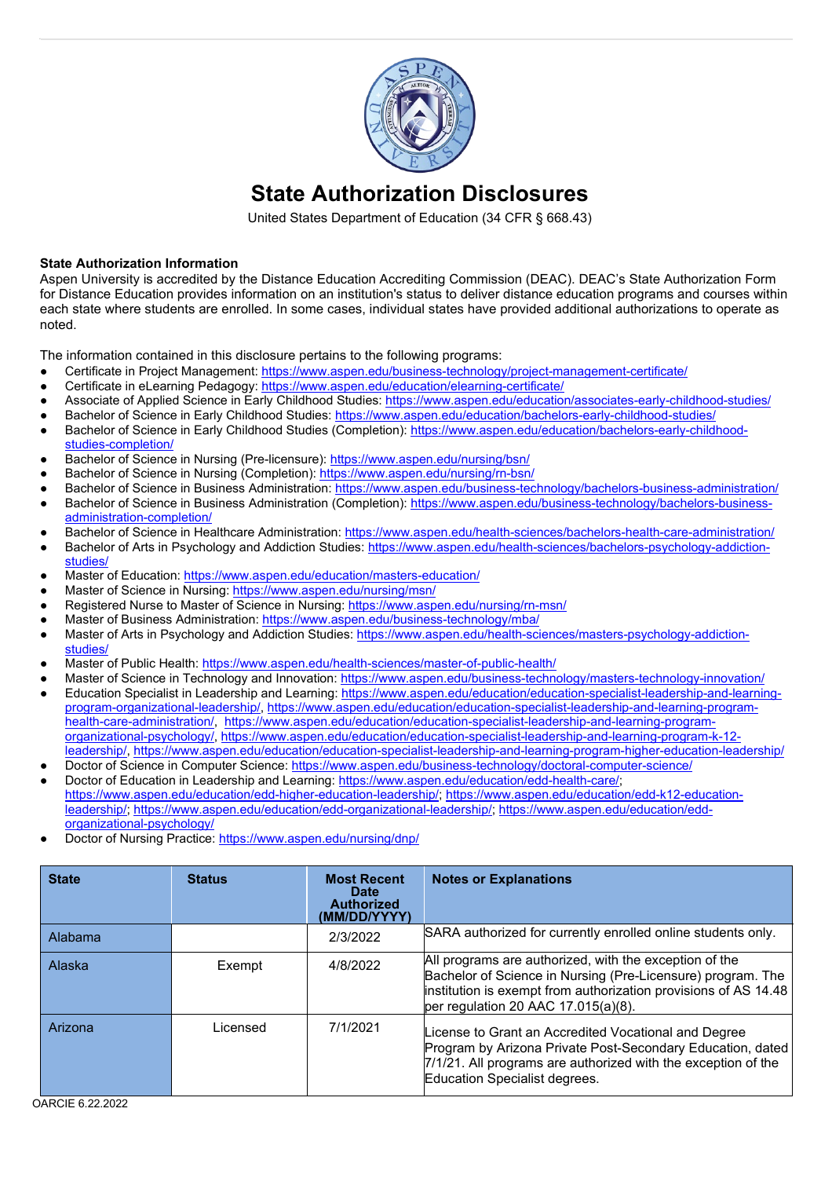

# **State Authorization Disclosures**

United States Department of Education (34 CFR § 668.43)

#### **State Authorization Information**

Aspen University is accredited by the Distance Education Accrediting Commission (DEAC). DEAC's State Authorization Form for Distance Education provides information on an institution's status to deliver distance education programs and courses within each state where students are enrolled. In some cases, individual states have provided additional authorizations to operate as noted.

The information contained in this disclosure pertains to the following programs:

- Certificate in Project Management:<https://www.aspen.edu/business-technology/project-management-certificate/>
- Certificate in eLearning Pedagogy: https://www.aspen.edu/education/elearning-certificate/
- Associate of Applied Science in Early Childhood Studies[: https://www.aspen.edu/education/associates-early-childhood-studies/](https://www.aspen.edu/education/associates-early-childhood-studies/)
- Bachelor of Science in Early Childhood Studies: https://www.aspen.edu/education/bachelors-early-childhood-studies/
- Bachelor of Science in Early Childhood Studies (Completion)[: https://www.aspen.edu/education/bachelors-early-childhood](https://www.aspen.edu/education/bachelors-early-childhood-studies-completion/)[studies-completion/](https://www.aspen.edu/education/bachelors-early-childhood-studies-completion/)
- Bachelor of Science in Nursing (Pre-licensure):<https://www.aspen.edu/nursing/bsn/>
- Bachelor of Science in Nursing (Completion)[: https://www.aspen.edu/nursing/rn-bsn/](https://www.aspen.edu/nursing/rn-bsn/)
- Bachelor of Science in Business Administration[: https://www.aspen.edu/business-technology/bachelors-business-administration/](https://www.aspen.edu/business-technology/bachelors-business-administration/) Bachelor of Science in Business Administration (Completion)[: https://www.aspen.edu/business-technology/bachelors-business-](https://www.aspen.edu/business-technology/bachelors-business-administration-completion/)
- [administration-completion/](https://www.aspen.edu/business-technology/bachelors-business-administration-completion/)
- Bachelor of Science in Healthcare Administration[: https://www.aspen.edu/health-sciences/bachelors-health-care-administration/](https://www.aspen.edu/health-sciences/bachelors-health-care-administration/)
- Bachelor of Arts in Psychology and Addiction Studies: [https://www.aspen.edu/health-sciences/bachelors-psychology-addiction](https://www.aspen.edu/health-sciences/bachelors-psychology-addiction-studies/)[studies/](https://www.aspen.edu/health-sciences/bachelors-psychology-addiction-studies/)
- Master of Education[: https://www.aspen.edu/education/masters-education/](https://www.aspen.edu/education/masters-education/)
- Master of Science in Nursing[: https://www.aspen.edu/nursing/msn/](https://www.aspen.edu/nursing/msn/)
- Registered Nurse to Master of Science in Nursing:<https://www.aspen.edu/nursing/rn-msn/>
- Master of Business Administration[: https://www.aspen.edu/business-technology/mba/](https://www.aspen.edu/business-technology/mba/)
- Master of Arts in Psychology and Addiction Studies: [https://www.aspen.edu/health-sciences/masters-psychology-addiction](https://www.aspen.edu/health-sciences/masters-psychology-addiction-studies/)[studies/](https://www.aspen.edu/health-sciences/masters-psychology-addiction-studies/)
- Master of Public Health: https://www.aspen.edu/health-sciences/master-of-public-health/
- Master of Science in Technology and Innovation[: https://www.aspen.edu/business-technology/masters-technology-innovation/](https://www.aspen.edu/business-technology/masters-technology-innovation/)
- Education Specialist in Leadership and Learning: [https://www.aspen.edu/education/education-specialist-leadership-and-learning](https://www.aspen.edu/education/education-specialist-leadership-and-learning-program-organizational-leadership/)[program-organizational-leadership/,](https://www.aspen.edu/education/education-specialist-leadership-and-learning-program-organizational-leadership/) [https://www.aspen.edu/education/education-specialist-leadership-and-learning-program](https://www.aspen.edu/education/education-specialist-leadership-and-learning-program-health-care-administration/)[health-care-administration/,](https://www.aspen.edu/education/education-specialist-leadership-and-learning-program-health-care-administration/) [https://www.aspen.edu/education/education-specialist-leadership-and-learning-program](https://www.aspen.edu/education/education-specialist-leadership-and-learning-program-organizational-psychology/)[organizational-psychology/,](https://www.aspen.edu/education/education-specialist-leadership-and-learning-program-organizational-psychology/) [https://www.aspen.edu/education/education-specialist-leadership-and-learning-program-k-12](https://www.aspen.edu/education/education-specialist-leadership-and-learning-program-k-12-leadership/) [leadership/,](https://www.aspen.edu/education/education-specialist-leadership-and-learning-program-k-12-leadership/)<https://www.aspen.edu/education/education-specialist-leadership-and-learning-program-higher-education-leadership/>
- Doctor of Science in Computer Science[: https://www.aspen.edu/business-technology/doctoral-computer-science/](https://www.aspen.edu/business-technology/doctoral-computer-science/)
- Doctor of Education in Leadership and Learning: [https://www.aspen.edu/education/edd-health-care/;](https://www.aspen.edu/education/edd-health-care/) [https://www.aspen.edu/education/edd-higher-education-leadership/;](https://www.aspen.edu/education/edd-higher-education-leadership/) [https://www.aspen.edu/education/edd-k12-education](https://www.aspen.edu/education/edd-k12-education-leadership/)[leadership/;](https://www.aspen.edu/education/edd-k12-education-leadership/) [https://www.aspen.edu/education/edd-organizational-leadership/;](https://www.aspen.edu/education/edd-organizational-leadership/) [https://www.aspen.edu/education/edd](https://www.aspen.edu/education/edd-organizational-psychology/)[organizational-psychology/](https://www.aspen.edu/education/edd-organizational-psychology/)
- Doctor of Nursing Practice[: https://www.aspen.edu/nursing/dnp/](https://www.aspen.edu/nursing/dnp/)

| <b>State</b> | <b>Status</b> | <b>Most Recent</b><br><b>Date</b><br><b>Authorized</b><br>(MM/DD/YYYY) | <b>Notes or Explanations</b>                                                                                                                                                                                                    |
|--------------|---------------|------------------------------------------------------------------------|---------------------------------------------------------------------------------------------------------------------------------------------------------------------------------------------------------------------------------|
| Alabama      |               | 2/3/2022                                                               | SARA authorized for currently enrolled online students only.                                                                                                                                                                    |
| Alaska       | Exempt        | 4/8/2022                                                               | All programs are authorized, with the exception of the<br>Bachelor of Science in Nursing (Pre-Licensure) program. The<br>institution is exempt from authorization provisions of AS 14.48<br>per regulation 20 AAC 17.015(a)(8). |
| Arizona      | Licensed      | 7/1/2021                                                               | License to Grant an Accredited Vocational and Degree<br>Program by Arizona Private Post-Secondary Education, dated<br>7/1/21. All programs are authorized with the exception of the<br>Education Specialist degrees.            |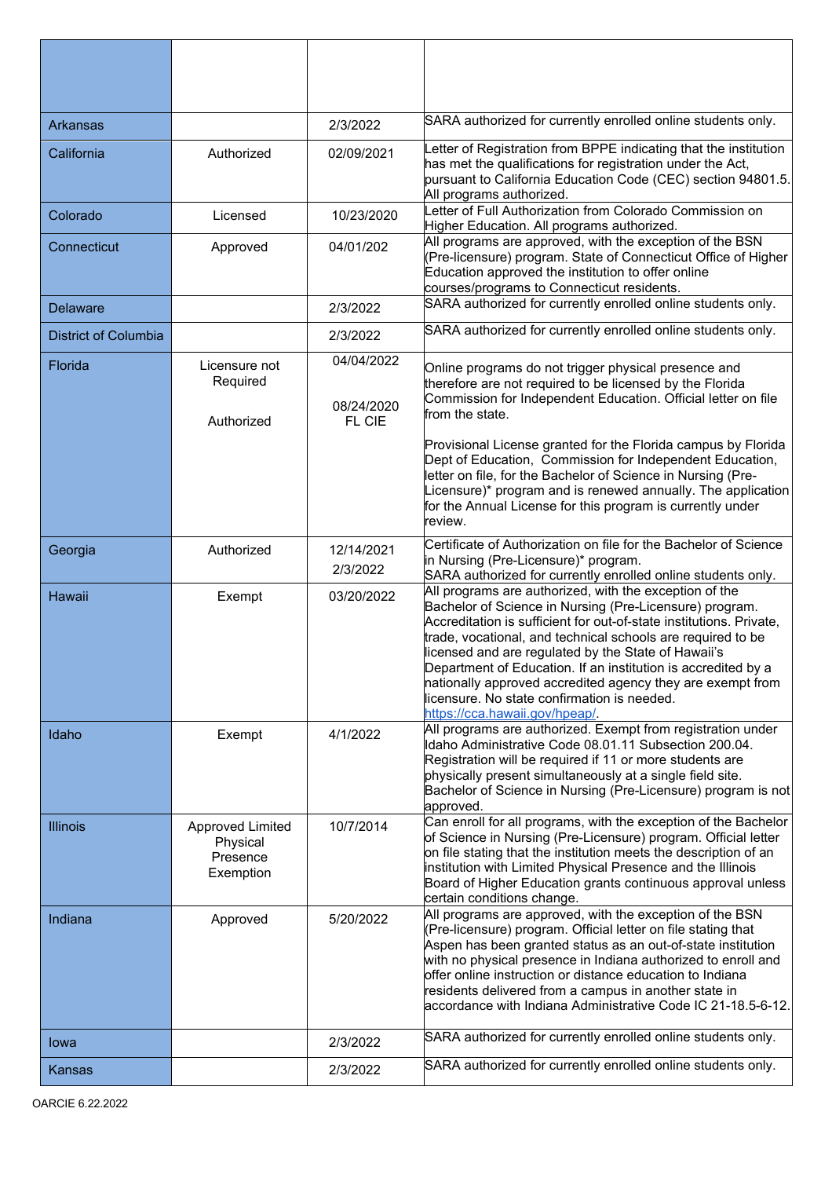| <b>Arkansas</b>             |                                                              | 2/3/2022                           | SARA authorized for currently enrolled online students only.                                                                                                                                                                                                                                                                                                                                                                                                                                                                  |
|-----------------------------|--------------------------------------------------------------|------------------------------------|-------------------------------------------------------------------------------------------------------------------------------------------------------------------------------------------------------------------------------------------------------------------------------------------------------------------------------------------------------------------------------------------------------------------------------------------------------------------------------------------------------------------------------|
| California                  | Authorized                                                   | 02/09/2021                         | etter of Registration from BPPE indicating that the institution<br>has met the qualifications for registration under the Act,<br>pursuant to California Education Code (CEC) section 94801.5.<br>All programs authorized.                                                                                                                                                                                                                                                                                                     |
| Colorado                    | Licensed                                                     | 10/23/2020                         | etter of Full Authorization from Colorado Commission on<br>Higher Education. All programs authorized.                                                                                                                                                                                                                                                                                                                                                                                                                         |
| Connecticut                 | Approved                                                     | 04/01/202                          | All programs are approved, with the exception of the BSN<br>(Pre-licensure) program. State of Connecticut Office of Higher<br>Education approved the institution to offer online<br>courses/programs to Connecticut residents.                                                                                                                                                                                                                                                                                                |
| <b>Delaware</b>             |                                                              | 2/3/2022                           | SARA authorized for currently enrolled online students only.                                                                                                                                                                                                                                                                                                                                                                                                                                                                  |
| <b>District of Columbia</b> |                                                              | 2/3/2022                           | SARA authorized for currently enrolled online students only.                                                                                                                                                                                                                                                                                                                                                                                                                                                                  |
| Florida                     | Licensure not<br>Required<br>Authorized                      | 04/04/2022<br>08/24/2020<br>FL CIE | Online programs do not trigger physical presence and<br>therefore are not required to be licensed by the Florida<br>Commission for Independent Education. Official letter on file<br>from the state.                                                                                                                                                                                                                                                                                                                          |
|                             |                                                              |                                    | Provisional License granted for the Florida campus by Florida<br>Dept of Education, Commission for Independent Education,<br>letter on file, for the Bachelor of Science in Nursing (Pre-<br>Licensure)* program and is renewed annually. The application $\mid$<br>for the Annual License for this program is currently under<br>review.                                                                                                                                                                                     |
| Georgia                     | Authorized                                                   | 12/14/2021<br>2/3/2022             | Certificate of Authorization on file for the Bachelor of Science<br>in Nursing (Pre-Licensure)* program.<br>SARA authorized for currently enrolled online students only.                                                                                                                                                                                                                                                                                                                                                      |
| <b>Hawaii</b>               | Exempt                                                       | 03/20/2022                         | All programs are authorized, with the exception of the<br>Bachelor of Science in Nursing (Pre-Licensure) program.<br>Accreditation is sufficient for out-of-state institutions. Private,<br>trade, vocational, and technical schools are required to be<br>licensed and are regulated by the State of Hawaii's<br>Department of Education. If an institution is accredited by a<br>nationally approved accredited agency they are exempt from<br>icensure. No state confirmation is needed.<br>https://cca.hawaii.gov/hpeap/. |
| Idaho                       | Exempt                                                       | 4/1/2022                           | All programs are authorized. Exempt from registration under<br>Idaho Administrative Code 08.01.11 Subsection 200.04.<br>Registration will be required if 11 or more students are<br>physically present simultaneously at a single field site.<br>Bachelor of Science in Nursing (Pre-Licensure) program is not<br>approved.                                                                                                                                                                                                   |
| <b>Illinois</b>             | <b>Approved Limited</b><br>Physical<br>Presence<br>Exemption | 10/7/2014                          | Can enroll for all programs, with the exception of the Bachelor<br>of Science in Nursing (Pre-Licensure) program. Official letter<br>on file stating that the institution meets the description of an<br>institution with Limited Physical Presence and the Illinois<br>Board of Higher Education grants continuous approval unless<br>certain conditions change.                                                                                                                                                             |
| Indiana                     | Approved                                                     | 5/20/2022                          | All programs are approved, with the exception of the BSN<br>(Pre-licensure) program. Official letter on file stating that<br>Aspen has been granted status as an out-of-state institution<br>with no physical presence in Indiana authorized to enroll and<br>offer online instruction or distance education to Indiana<br>residents delivered from a campus in another state in<br>accordance with Indiana Administrative Code IC 21-18.5-6-12.                                                                              |
| lowa                        |                                                              | 2/3/2022                           | SARA authorized for currently enrolled online students only.                                                                                                                                                                                                                                                                                                                                                                                                                                                                  |
| Kansas                      |                                                              | 2/3/2022                           | SARA authorized for currently enrolled online students only.                                                                                                                                                                                                                                                                                                                                                                                                                                                                  |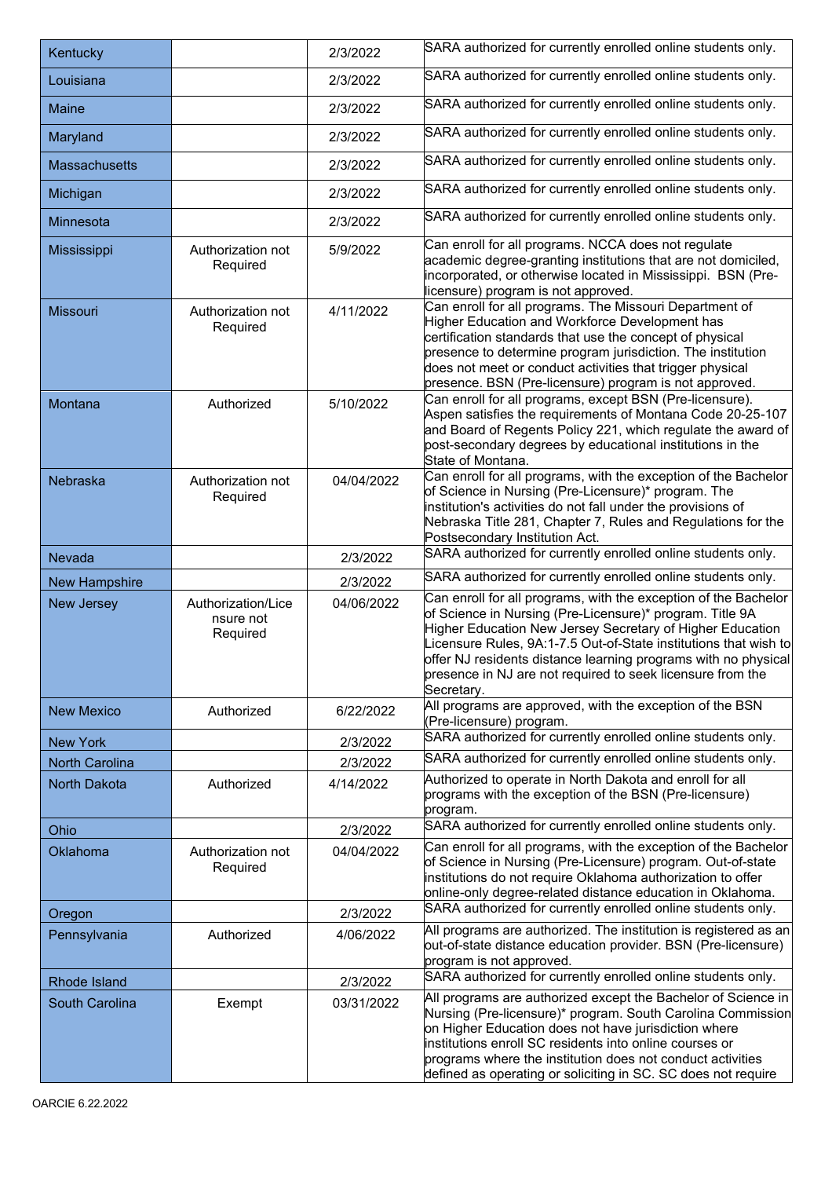| Kentucky              |                                             | 2/3/2022   | SARA authorized for currently enrolled online students only.                                                                                                                                                                                                                                                                                                                                              |  |
|-----------------------|---------------------------------------------|------------|-----------------------------------------------------------------------------------------------------------------------------------------------------------------------------------------------------------------------------------------------------------------------------------------------------------------------------------------------------------------------------------------------------------|--|
| Louisiana             |                                             | 2/3/2022   | SARA authorized for currently enrolled online students only.                                                                                                                                                                                                                                                                                                                                              |  |
| <b>Maine</b>          |                                             | 2/3/2022   | SARA authorized for currently enrolled online students only.                                                                                                                                                                                                                                                                                                                                              |  |
| Maryland              |                                             | 2/3/2022   | SARA authorized for currently enrolled online students only.                                                                                                                                                                                                                                                                                                                                              |  |
| <b>Massachusetts</b>  |                                             | 2/3/2022   | SARA authorized for currently enrolled online students only.                                                                                                                                                                                                                                                                                                                                              |  |
| Michigan              |                                             | 2/3/2022   | SARA authorized for currently enrolled online students only.                                                                                                                                                                                                                                                                                                                                              |  |
| Minnesota             |                                             | 2/3/2022   | SARA authorized for currently enrolled online students only.                                                                                                                                                                                                                                                                                                                                              |  |
| Mississippi           | Authorization not<br>Required               | 5/9/2022   | Can enroll for all programs. NCCA does not regulate<br>academic degree-granting institutions that are not domiciled,<br>incorporated, or otherwise located in Mississippi. BSN (Pre-<br>icensure) program is not approved.                                                                                                                                                                                |  |
| <b>Missouri</b>       | Authorization not<br>Required               | 4/11/2022  | Can enroll for all programs. The Missouri Department of<br>Higher Education and Workforce Development has<br>certification standards that use the concept of physical<br>presence to determine program jurisdiction. The institution<br>does not meet or conduct activities that trigger physical<br>presence. BSN (Pre-licensure) program is not approved.                                               |  |
| Montana               | Authorized                                  | 5/10/2022  | Can enroll for all programs, except BSN (Pre-licensure).<br>Aspen satisfies the requirements of Montana Code 20-25-107<br>and Board of Regents Policy 221, which regulate the award of<br>post-secondary degrees by educational institutions in the<br>State of Montana.                                                                                                                                  |  |
| Nebraska              | Authorization not<br>Required               | 04/04/2022 | Can enroll for all programs, with the exception of the Bachelor<br>of Science in Nursing (Pre-Licensure)* program. The<br>institution's activities do not fall under the provisions of<br>Nebraska Title 281, Chapter 7, Rules and Regulations for the<br>Postsecondary Institution Act.                                                                                                                  |  |
| <b>Nevada</b>         |                                             | 2/3/2022   | SARA authorized for currently enrolled online students only.                                                                                                                                                                                                                                                                                                                                              |  |
| <b>New Hampshire</b>  |                                             | 2/3/2022   | SARA authorized for currently enrolled online students only.                                                                                                                                                                                                                                                                                                                                              |  |
| New Jersey            | Authorization/Lice<br>nsure not<br>Required | 04/06/2022 | Can enroll for all programs, with the exception of the Bachelor<br>of Science in Nursing (Pre-Licensure)* program. Title 9A<br>Higher Education New Jersey Secretary of Higher Education<br>icensure Rules, 9A:1-7.5 Out-of-State institutions that wish to<br>offer NJ residents distance learning programs with no physical<br>presence in NJ are not required to seek licensure from the<br>Secretary. |  |
| <b>New Mexico</b>     | Authorized                                  | 6/22/2022  | All programs are approved, with the exception of the BSN<br>(Pre-licensure) program.                                                                                                                                                                                                                                                                                                                      |  |
| <b>New York</b>       |                                             | 2/3/2022   | SARA authorized for currently enrolled online students only.                                                                                                                                                                                                                                                                                                                                              |  |
| <b>North Carolina</b> |                                             | 2/3/2022   | SARA authorized for currently enrolled online students only.                                                                                                                                                                                                                                                                                                                                              |  |
| <b>North Dakota</b>   | Authorized                                  | 4/14/2022  | Authorized to operate in North Dakota and enroll for all<br>programs with the exception of the BSN (Pre-licensure)<br>program.                                                                                                                                                                                                                                                                            |  |
| Ohio                  |                                             | 2/3/2022   | SARA authorized for currently enrolled online students only.                                                                                                                                                                                                                                                                                                                                              |  |
| Oklahoma              | Authorization not<br>Required               | 04/04/2022 | Can enroll for all programs, with the exception of the Bachelor<br>of Science in Nursing (Pre-Licensure) program. Out-of-state<br>institutions do not require Oklahoma authorization to offer<br>online-only degree-related distance education in Oklahoma.                                                                                                                                               |  |
| Oregon                |                                             | 2/3/2022   | SARA authorized for currently enrolled online students only.                                                                                                                                                                                                                                                                                                                                              |  |
| Pennsylvania          | Authorized                                  | 4/06/2022  | All programs are authorized. The institution is registered as an<br>put-of-state distance education provider. BSN (Pre-licensure)<br>program is not approved.                                                                                                                                                                                                                                             |  |
| Rhode Island          |                                             | 2/3/2022   | SARA authorized for currently enrolled online students only.                                                                                                                                                                                                                                                                                                                                              |  |
| South Carolina        | Exempt                                      | 03/31/2022 | All programs are authorized except the Bachelor of Science in<br>Nursing (Pre-licensure)* program. South Carolina Commission<br>on Higher Education does not have jurisdiction where<br>institutions enroll SC residents into online courses or<br>programs where the institution does not conduct activities<br>defined as operating or soliciting in SC. SC does not require                            |  |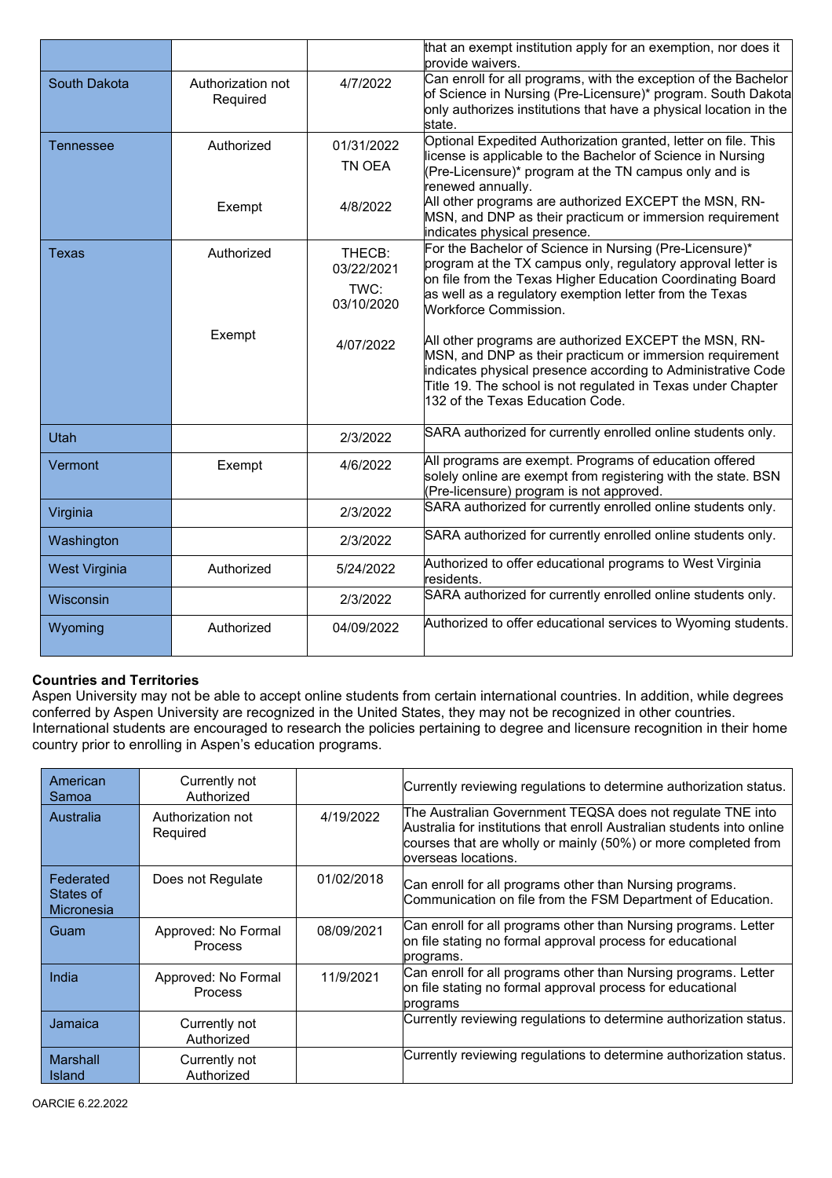|                  |                               |                                            | that an exempt institution apply for an exemption, nor does it<br>provide waivers.                                                                                                                                                                                                    |
|------------------|-------------------------------|--------------------------------------------|---------------------------------------------------------------------------------------------------------------------------------------------------------------------------------------------------------------------------------------------------------------------------------------|
| South Dakota     | Authorization not<br>Required | 4/7/2022                                   | Can enroll for all programs, with the exception of the Bachelor<br>of Science in Nursing (Pre-Licensure)* program. South Dakota<br>only authorizes institutions that have a physical location in the<br>state.                                                                        |
| <b>Tennessee</b> | Authorized                    | 01/31/2022<br>TN OEA                       | Optional Expedited Authorization granted, letter on file. This<br>icense is applicable to the Bachelor of Science in Nursing<br>(Pre-Licensure)* program at the TN campus only and is<br>enewed annually.                                                                             |
|                  | Exempt                        | 4/8/2022                                   | All other programs are authorized EXCEPT the MSN, RN-<br>MSN, and DNP as their practicum or immersion requirement<br>indicates physical presence.                                                                                                                                     |
| <b>Texas</b>     | Authorized                    | THECB:<br>03/22/2021<br>TWC:<br>03/10/2020 | For the Bachelor of Science in Nursing (Pre-Licensure)*<br>program at the TX campus only, regulatory approval letter is<br>on file from the Texas Higher Education Coordinating Board<br>as well as a regulatory exemption letter from the Texas<br><b>Workforce Commission.</b>      |
|                  | Exempt                        | 4/07/2022                                  | All other programs are authorized EXCEPT the MSN, RN-<br>MSN, and DNP as their practicum or immersion requirement<br>indicates physical presence according to Administrative Code<br>Title 19. The school is not regulated in Texas under Chapter<br>132 of the Texas Education Code. |
| Utah             |                               | 2/3/2022                                   | SARA authorized for currently enrolled online students only.                                                                                                                                                                                                                          |
| Vermont          | Exempt                        | 4/6/2022                                   | All programs are exempt. Programs of education offered<br>solely online are exempt from registering with the state. BSN<br>Pre-licensure) program is not approved.                                                                                                                    |
| Virginia         |                               | 2/3/2022                                   | SARA authorized for currently enrolled online students only.                                                                                                                                                                                                                          |
| Washington       |                               | 2/3/2022                                   | SARA authorized for currently enrolled online students only.                                                                                                                                                                                                                          |
| West Virginia    | Authorized                    | 5/24/2022                                  | Authorized to offer educational programs to West Virginia<br>esidents.                                                                                                                                                                                                                |
| Wisconsin        |                               | 2/3/2022                                   | SARA authorized for currently enrolled online students only.                                                                                                                                                                                                                          |
| Wyoming          | Authorized                    | 04/09/2022                                 | Authorized to offer educational services to Wyoming students.                                                                                                                                                                                                                         |

# **Countries and Territories**

Aspen University may not be able to accept online students from certain international countries. In addition, while degrees conferred by Aspen University are recognized in the United States, they may not be recognized in other countries. International students are encouraged to research the policies pertaining to degree and licensure recognition in their home country prior to enrolling in Aspen's education programs.

| American<br>Samoa                           | Currently not<br>Authorized           |            | Currently reviewing regulations to determine authorization status.                                                                                                                                                            |
|---------------------------------------------|---------------------------------------|------------|-------------------------------------------------------------------------------------------------------------------------------------------------------------------------------------------------------------------------------|
| Australia                                   | Authorization not<br>Required         | 4/19/2022  | The Australian Government TEQSA does not regulate TNE into<br>Australia for institutions that enroll Australian students into online<br>courses that are wholly or mainly (50%) or more completed from<br>overseas locations. |
| Federated<br>States of<br><b>Micronesia</b> | Does not Regulate                     | 01/02/2018 | Can enroll for all programs other than Nursing programs.<br>Communication on file from the FSM Department of Education.                                                                                                       |
| Guam                                        | Approved: No Formal<br><b>Process</b> | 08/09/2021 | Can enroll for all programs other than Nursing programs. Letter<br>on file stating no formal approval process for educational<br>programs.                                                                                    |
| India                                       | Approved: No Formal<br>Process        | 11/9/2021  | Can enroll for all programs other than Nursing programs. Letter<br>on file stating no formal approval process for educational<br>programs                                                                                     |
| Jamaica                                     | Currently not<br>Authorized           |            | Currently reviewing regulations to determine authorization status.                                                                                                                                                            |
| <b>Marshall</b><br>Island                   | Currently not<br>Authorized           |            | Currently reviewing regulations to determine authorization status.                                                                                                                                                            |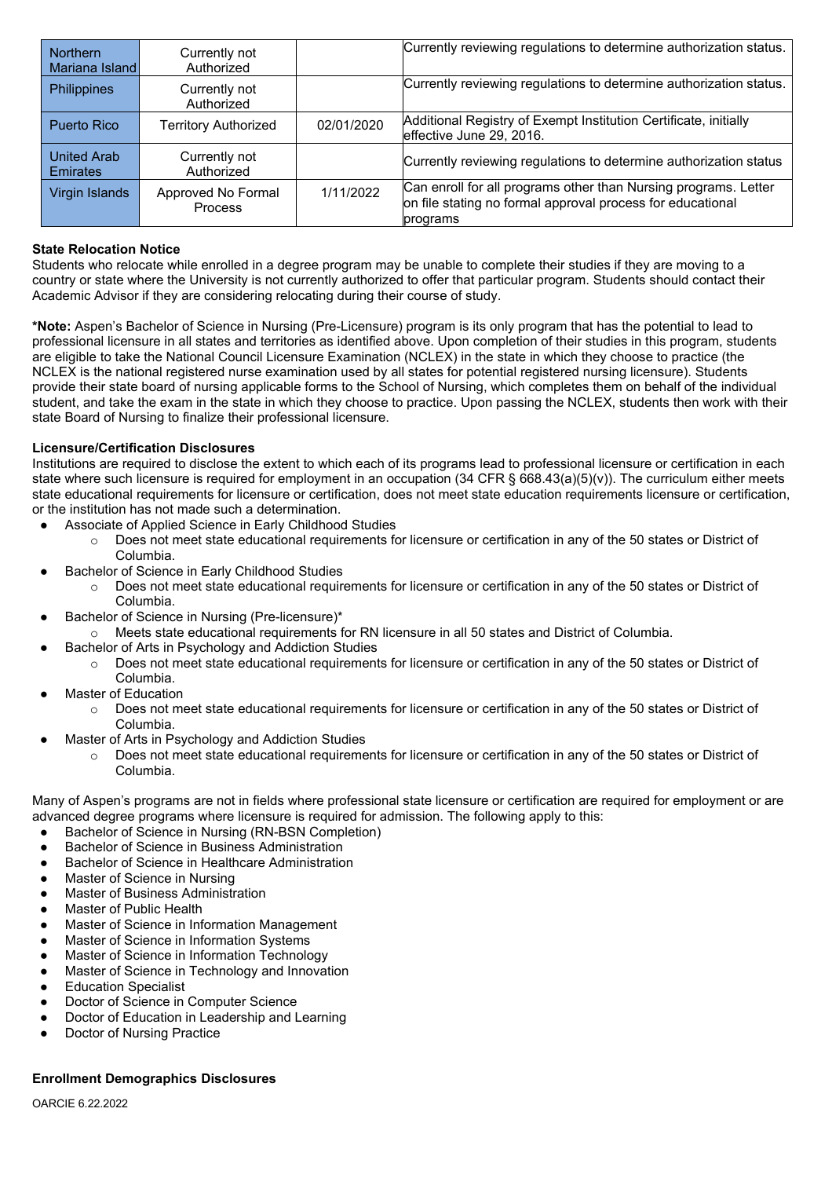| Northern<br>Mariana Island            | Currently not<br>Authorized   |            | Currently reviewing regulations to determine authorization status.                                                                        |
|---------------------------------------|-------------------------------|------------|-------------------------------------------------------------------------------------------------------------------------------------------|
| <b>Philippines</b>                    | Currently not<br>Authorized   |            | Currently reviewing regulations to determine authorization status.                                                                        |
| Puerto Rico                           | <b>Territory Authorized</b>   | 02/01/2020 | Additional Registry of Exempt Institution Certificate, initially<br>effective June 29, 2016.                                              |
| <b>United Arab</b><br><b>Emirates</b> | Currently not<br>Authorized   |            | Currently reviewing regulations to determine authorization status                                                                         |
| Virgin Islands                        | Approved No Formal<br>Process | 1/11/2022  | Can enroll for all programs other than Nursing programs. Letter<br>on file stating no formal approval process for educational<br>programs |

## **State Relocation Notice**

Students who relocate while enrolled in a degree program may be unable to complete their studies if they are moving to a country or state where the University is not currently authorized to offer that particular program. Students should contact their Academic Advisor if they are considering relocating during their course of study.

**\*Note:** Aspen's Bachelor of Science in Nursing (Pre-Licensure) program is its only program that has the potential to lead to professional licensure in all states and territories as identified above. Upon completion of their studies in this program, students are eligible to take the National Council Licensure Examination (NCLEX) in the state in which they choose to practice (the NCLEX is the national registered nurse examination used by all states for potential registered nursing licensure). Students provide their state board of nursing applicable forms to the School of Nursing, which completes them on behalf of the individual student, and take the exam in the state in which they choose to practice. Upon passing the NCLEX, students then work with their state Board of Nursing to finalize their professional licensure.

### **Licensure/Certification Disclosures**

Institutions are required to disclose the extent to which each of its programs lead to professional licensure or certification in each state where such licensure is required for employment in an occupation  $(34 \text{ CFR} \text{S } 668.43(a)(5)(v))$ . The curriculum either meets state educational requirements for licensure or certification, does not meet state education requirements licensure or certification, or the institution has not made such a determination.

- Associate of Applied Science in Early Childhood Studies
	- o Does not meet state educational requirements for licensure or certification in any of the 50 states or District of Columbia.
- Bachelor of Science in Early Childhood Studies
	- o Does not meet state educational requirements for licensure or certification in any of the 50 states or District of Columbia.
- Bachelor of Science in Nursing (Pre-licensure)\*
	- o Meets state educational requirements for RN licensure in all 50 states and District of Columbia.
- Bachelor of Arts in Psychology and Addiction Studies
	- o Does not meet state educational requirements for licensure or certification in any of the 50 states or District of Columbia.
- **Master of Education** 
	- o Does not meet state educational requirements for licensure or certification in any of the 50 states or District of Columbia.
- Master of Arts in Psychology and Addiction Studies
	- o Does not meet state educational requirements for licensure or certification in any of the 50 states or District of Columbia.

Many of Aspen's programs are not in fields where professional state licensure or certification are required for employment or are advanced degree programs where licensure is required for admission. The following apply to this:

- Bachelor of Science in Nursing (RN-BSN Completion)
- **Bachelor of Science in Business Administration**
- **Bachelor of Science in Healthcare Administration**
- **Master of Science in Nursing**
- Master of Business Administration
- **Master of Public Health**
- Master of Science in Information Management
- Master of Science in Information Systems
- Master of Science in Information Technology
- Master of Science in Technology and Innovation
- **Education Specialist**
- Doctor of Science in Computer Science
- Doctor of Education in Leadership and Learning
- **Doctor of Nursing Practice**

#### **Enrollment Demographics Disclosures**

OARCIE 6.22.2022